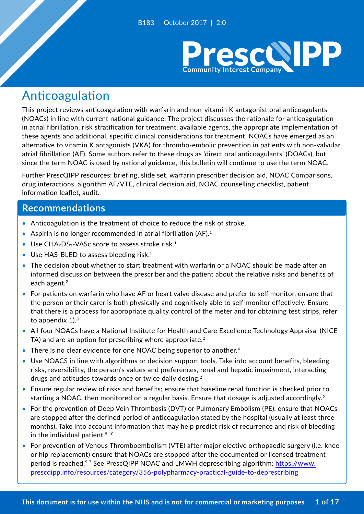

# Anticoagulation

This project reviews anticoagulation with warfarin and non-vitamin K antagonist oral anticoagulants (NOACs) in line with current national guidance. The project discusses the rationale for anticoagulation in atrial fibrillation, risk stratification for treatment, available agents, the appropriate implementation of these agents and additional, specific clinical considerations for treatment. NOACs have emerged as an alternative to vitamin K antagonists (VKA) for thrombo-embolic prevention in patients with non-valvular atrial fibrillation (AF). Some authors refer to these drugs as 'direct oral anticoagulants' (DOACs), but since the term NOAC is used by national guidance, this bulletin will continue to use the term NOAC.

Further PrescQIPP resources: briefing, slide set, warfarin prescriber decision aid, NOAC Comparisons, drug interactions, algorithm AF/VTE, clinical decision aid, NOAC counselling checklist, patient information leaflet, audit.

### **Recommendations**

- Anticoagulation is the treatment of choice to reduce the risk of stroke.
- Aspirin is no longer recommended in atrial fibrillation (AF). $1$
- Use  $CHA<sub>2</sub>DS<sub>2</sub>$ -VASc score to assess stroke risk.<sup>1</sup>
- Use HAS-BLED to assess bleeding risk.<sup>1</sup>
- The decision about whether to start treatment with warfarin or a NOAC should be made after an informed discussion between the prescriber and the patient about the relative risks and benefits of each agent.<sup>2</sup>
- For patients on warfarin who have AF or heart valve disease and prefer to self monitor, ensure that the person or their carer is both physically and cognitively able to self-monitor effectively. Ensure that there is a process for appropriate quality control of the meter and for obtaining test strips, refer to appendix 1).<sup>3</sup>
- All four NOACs have a National Institute for Health and Care Excellence Technology Appraisal (NICE TA) and are an option for prescribing where appropriate.<sup>2</sup>
- There is no clear evidence for one NOAC being superior to another.<sup>4</sup>
- Use NOACS in line with algorithms or decision support tools. Take into account benefits, bleeding risks, reversibility, the person's values and preferences, renal and hepatic impairment, interacting drugs and attitudes towards once or twice daily dosing.<sup>2</sup>
- Ensure regular review of risks and benefits; ensure that baseline renal function is checked prior to starting a NOAC, then monitored on a regular basis. Ensure that dosage is adjusted accordingly.<sup>2</sup>
- For the prevention of Deep Vein Thrombosis (DVT) or Pulmonary Embolism (PE), ensure that NOACs are stopped after the defined period of anticoagulation stated by the hospital (usually at least three months). Take into account information that may help predict risk of recurrence and risk of bleeding in the individual patient.<sup>5-10</sup>
- For prevention of Venous Thromboembolism (VTE) after major elective orthopaedic surgery (i.e. knee or hip replacement) ensure that NOACs are stopped after the documented or licensed treatment period is reached.<sup>5-7</sup> See PrescQIPP NOAC and LMWH deprescribing algorithm: https://www. prescqipp.info/resources/category/356-polypharmacy-practical-guide-to-deprescribing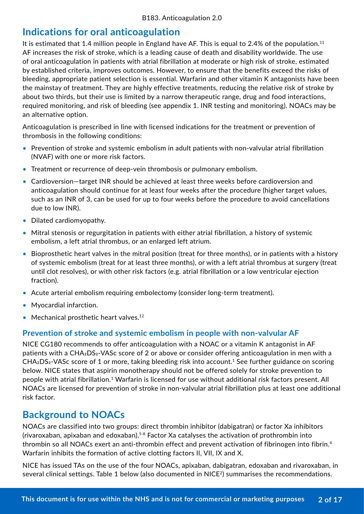## **Indications for oral anticoagulation**

It is estimated that 1.4 million people in England have AF. This is equal to 2.4% of the population.<sup>11</sup> AF increases the risk of stroke, which is a leading cause of death and disability worldwide. The use of oral anticoagulation in patients with atrial fibrillation at moderate or high risk of stroke, estimated by established criteria, improves outcomes. However, to ensure that the benefits exceed the risks of bleeding, appropriate patient selection is essential. Warfarin and other vitamin K antagonists have been the mainstay of treatment. They are highly effective treatments, reducing the relative risk of stroke by about two thirds, but their use is limited by a narrow therapeutic range, drug and food interactions, required monitoring, and risk of bleeding (see appendix 1. INR testing and monitoring). NOACs may be an alternative option.

Anticoagulation is prescribed in line with licensed indications for the treatment or prevention of thrombosis in the following conditions:

- Prevention of stroke and systemic embolism in adult patients with non-valvular atrial fibrillation (NVAF) with one or more risk factors.
- Treatment or recurrence of deep-vein thrombosis or pulmonary embolism.
- Cardioversion—target INR should be achieved at least three weeks before cardioversion and anticoagulation should continue for at least four weeks after the procedure (higher target values, such as an INR of 3, can be used for up to four weeks before the procedure to avoid cancellations due to low INR).
- Dilated cardiomyopathy.
- Mitral stenosis or regurgitation in patients with either atrial fibrillation, a history of systemic embolism, a left atrial thrombus, or an enlarged left atrium.
- Bioprosthetic heart valves in the mitral position (treat for three months), or in patients with a history of systemic embolism (treat for at least three months), or with a left atrial thrombus at surgery (treat until clot resolves), or with other risk factors (e.g. atrial fibrillation or a low ventricular ejection fraction).
- Acute arterial embolism requiring embolectomy (consider long-term treatment).
- Myocardial infarction.
- Mechanical prosthetic heart valves.<sup>12</sup>

### **Prevention of stroke and systemic embolism in people with non-valvular AF**

NICE CG180 recommends to offer anticoagulation with a NOAC or a vitamin K antagonist in AF patients with a CHA<sub>2</sub>DS<sub>2</sub>-VASc score of 2 or above or consider offering anticoagulation in men with a  $CHA<sub>2</sub>DS<sub>2</sub>-VASC score of 1 or more, taking bleeding risk into account.<sup>1</sup> See further guidance on scoring$ below. NICE states that aspirin monotherapy should not be offered solely for stroke prevention to people with atrial fibrillation.1 Warfarin is licensed for use without additional risk factors present. All NOACs are licensed for prevention of stroke in non-valvular atrial fibrillation plus at least one additional risk factor.

### **Background to NOACs**

NOACs are classified into two groups: direct thrombin inhibitor (dabigatran) or factor Xa inhibitors (rivaroxaban, apixaban and edoxaban).<sup>5-8</sup> Factor Xa catalyses the activation of prothrombin into thrombin so all NOACs exert an anti-thrombin effect and prevent activation of fibrinogen into fibrin.<sup>4</sup> Warfarin inhibits the formation of active clotting factors II, VII, IX and X.

NICE has issued TAs on the use of the four NOACs, apixaban, dabigatran, edoxaban and rivaroxaban, in several clinical settings. Table 1 below (also documented in NICE<sup>2</sup>) summarises the recommendations.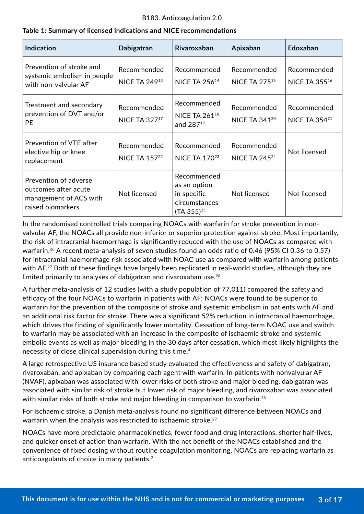### **Table 1: Summary of licensed indications and NICE recommendations**

| <b>Indication</b>                                                                            | Dabigatran                          | Rivaroxaban                                                                    | Apixaban                            | Edoxaban                            |
|----------------------------------------------------------------------------------------------|-------------------------------------|--------------------------------------------------------------------------------|-------------------------------------|-------------------------------------|
| Prevention of stroke and<br>systemic embolism in people<br>with non-valvular AF              | Recommended<br><b>NICE TA 24913</b> | Recommended<br><b>NICE TA 25614</b>                                            | Recommended<br><b>NICE TA 27515</b> | Recommended<br><b>NICE TA 35516</b> |
| Treatment and secondary<br>prevention of DVT and/or<br><b>PE</b>                             | Recommended<br><b>NICE TA 32717</b> | Recommended<br><b>NICE TA 26118</b><br>and 28719                               | Recommended<br><b>NICE TA 34120</b> | Recommended<br><b>NICE TA 35421</b> |
| Prevention of VTE after<br>elective hip or knee<br>replacement                               | Recommended<br><b>NICE TA 15722</b> | Recommended<br><b>NICE TA 17023</b>                                            | Recommended<br><b>NICE TA 24524</b> | Not licensed                        |
| Prevention of adverse<br>outcomes after acute<br>management of ACS with<br>raised biomarkers | Not licensed                        | Recommended<br>as an option<br>in specific<br>circumstances<br>$(TA 355)^{25}$ | Not licensed                        | Not licensed                        |

In the randomised controlled trials comparing NOACs with warfarin for stroke prevention in nonvalvular AF, the NOACs all provide non-inferior or superior protection against stroke. Most importantly, the risk of intracranial haemorrhage is significantly reduced with the use of NOACs as compared with warfarin.<sup>26</sup> A recent meta-analysis of seven studies found an odds ratio of 0.46 (95% CI 0.36 to 0.57) for intracranial haemorrhage risk associated with NOAC use as compared with warfarin among patients with AF.<sup>27</sup> Both of these findings have largely been replicated in real-world studies, although they are limited primarily to analyses of dabigatran and rivaroxaban use.<sup>26</sup>

A further meta-analysis of 12 studies (with a study population of 77,011) compared the safety and efficacy of the four NOACs to warfarin in patients with AF; NOACs were found to be superior to warfarin for the prevention of the composite of stroke and systemic embolism in patients with AF and an additional risk factor for stroke. There was a significant 52% reduction in intracranial haemorrhage, which drives the finding of significantly lower mortality. Cessation of long-term NOAC use and switch to warfarin may be associated with an increase in the composite of ischaemic stroke and systemic embolic events as well as major bleeding in the 30 days after cessation, which most likely highlights the necessity of close clinical supervision during this time.<sup>4</sup>

A large retrospective US insurance based study evaluated the effectiveness and safety of dabigatran, rivaroxaban, and apixaban by comparing each agent with warfarin. In patients with nonvalvular AF (NVAF), apixaban was associated with lower risks of both stroke and major bleeding, dabigatran was associated with similar risk of stroke but lower risk of major bleeding, and rivaroxaban was associated with similar risks of both stroke and major bleeding in comparison to warfarin.<sup>28</sup>

For ischaemic stroke, a Danish meta-analysis found no significant difference between NOACs and warfarin when the analysis was restricted to ischaemic stroke.<sup>29</sup>

NOACs have more predictable pharmacokinetics, fewer food and drug interactions, shorter half-lives, and quicker onset of action than warfarin. With the net benefit of the NOACs established and the convenience of fixed dosing without routine coagulation monitoring, NOACs are replacing warfarin as anticoagulants of choice in many patients.<sup>2</sup>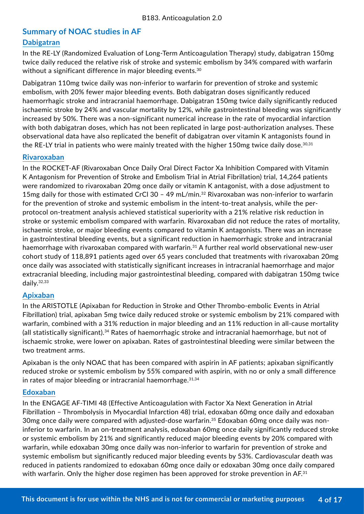### **Summary of NOAC studies in AF**

### **Dabigatran**

In the RE-LY (Randomized Evaluation of Long-Term Anticoagulation Therapy) study, dabigatran 150mg twice daily reduced the relative risk of stroke and systemic embolism by 34% compared with warfarin without a significant difference in major bleeding events.<sup>30</sup>

Dabigatran 110mg twice daily was non-inferior to warfarin for prevention of stroke and systemic embolism, with 20% fewer major bleeding events. Both dabigatran doses significantly reduced haemorrhagic stroke and intracranial haemorrhage. Dabigatran 150mg twice daily significantly reduced ischaemic stroke by 24% and vascular mortality by 12%, while gastrointestinal bleeding was significantly increased by 50%. There was a non-significant numerical increase in the rate of myocardial infarction with both dabigatran doses, which has not been replicated in large post-authorization analyses. These observational data have also replicated the benefit of dabigatran over vitamin K antagonists found in the RE-LY trial in patients who were mainly treated with the higher 150mg twice daily dose.<sup>30,31</sup>

### **Rivaroxaban**

In the ROCKET-AF (Rivaroxaban Once Daily Oral Direct Factor Xa Inhibition Compared with Vitamin K Antagonism for Prevention of Stroke and Embolism Trial in Atrial Fibrillation) trial, 14,264 patients were randomized to rivaroxaban 20mg once daily or vitamin K antagonist, with a dose adjustment to 15mg daily for those with estimated CrCl 30 - 49 mL/min.<sup>32</sup> Rivaroxaban was non-inferior to warfarin for the prevention of stroke and systemic embolism in the intent-to-treat analysis, while the perprotocol on-treatment analysis achieved statistical superiority with a 21% relative risk reduction in stroke or systemic embolism compared with warfarin. Rivaroxaban did not reduce the rates of mortality, ischaemic stroke, or major bleeding events compared to vitamin K antagonists. There was an increase in gastrointestinal bleeding events, but a significant reduction in haemorrhagic stroke and intracranial haemorrhage with rivaroxaban compared with warfarin.<sup>31</sup> A further real world observational new-user cohort study of 118,891 patients aged over 65 years concluded that treatments with rivaroxaban 20mg once daily was associated with statistically significant increases in intracranial haemorrhage and major extracranial bleeding, including major gastrointestinal bleeding, compared with dabigatran 150mg twice daily.32,33

### **Apixaban**

In the ARISTOTLE (Apixaban for Reduction in Stroke and Other Thrombo-embolic Events in Atrial Fibrillation) trial, apixaban 5mg twice daily reduced stroke or systemic embolism by 21% compared with warfarin, combined with a 31% reduction in major bleeding and an 11% reduction in all-cause mortality (all statistically significant).34 Rates of haemorrhagic stroke and intracranial haemorrhage, but not of ischaemic stroke, were lower on apixaban. Rates of gastrointestinal bleeding were similar between the two treatment arms.

Apixaban is the only NOAC that has been compared with aspirin in AF patients; apixaban significantly reduced stroke or systemic embolism by 55% compared with aspirin, with no or only a small difference in rates of major bleeding or intracranial haemorrhage.  $31,34$ 

### **Edoxaban**

In the ENGAGE AF-TIMI 48 (Effective Anticoagulation with Factor Xa Next Generation in Atrial Fibrillation – Thrombolysis in Myocardial Infarction 48) trial, edoxaban 60mg once daily and edoxaban 30mg once daily were compared with adjusted-dose warfarin.<sup>35</sup> Edoxaban 60mg once daily was noninferior to warfarin. In an on-treatment analysis, edoxaban 60mg once daily significantly reduced stroke or systemic embolism by 21% and significantly reduced major bleeding events by 20% compared with warfarin, while edoxaban 30mg once daily was non-inferior to warfarin for prevention of stroke and systemic embolism but significantly reduced major bleeding events by 53%. Cardiovascular death was reduced in patients randomized to edoxaban 60mg once daily or edoxaban 30mg once daily compared with warfarin. Only the higher dose regimen has been approved for stroke prevention in AF.<sup>31</sup>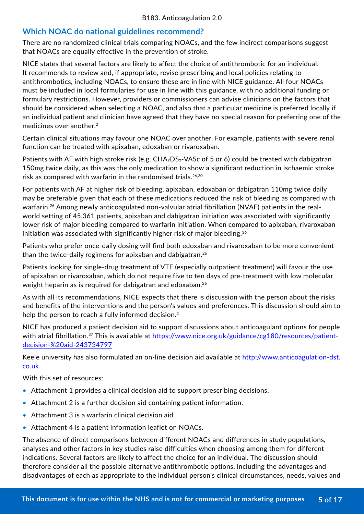### **Which NOAC do national guidelines recommend?**

There are no randomized clinical trials comparing NOACs, and the few indirect comparisons suggest that NOACs are equally effective in the prevention of stroke.

NICE states that several factors are likely to affect the choice of antithrombotic for an individual. It recommends to review and, if appropriate, revise prescribing and local policies relating to antithrombotics, including NOACs, to ensure these are in line with NICE guidance. All four NOACs must be included in local formularies for use in line with this guidance, with no additional funding or formulary restrictions. However, providers or commissioners can advise clinicians on the factors that should be considered when selecting a NOAC, and also that a particular medicine is preferred locally if an individual patient and clinician have agreed that they have no special reason for preferring one of the medicines over another.<sup>2</sup>

Certain clinical situations may favour one NOAC over another. For example, patients with severe renal function can be treated with apixaban, edoxaban or rivaroxaban.

Patients with AF with high stroke risk (e.g.  $CHA<sub>2</sub>DS<sub>2</sub> - VASC$  of 5 or 6) could be treated with dabigatran 150mg twice daily, as this was the only medication to show a significant reduction in ischaemic stroke risk as compared with warfarin in the randomised trials.<sup>26,30</sup>

For patients with AF at higher risk of bleeding, apixaban, edoxaban or dabigatran 110mg twice daily may be preferable given that each of these medications reduced the risk of bleeding as compared with warfarin.<sup>26</sup> Among newly anticoagulated non-valvular atrial fibrillation (NVAF) patients in the realworld setting of 45,361 patients, apixaban and dabigatran initiation was associated with significantly lower risk of major bleeding compared to warfarin initiation. When compared to apixaban, rivaroxaban initiation was associated with significantly higher risk of major bleeding.<sup>36</sup>

Patients who prefer once-daily dosing will find both edoxaban and rivaroxaban to be more convenient than the twice-daily regimens for apixaban and dabigatran.<sup>26</sup>

Patients looking for single-drug treatment of VTE (especially outpatient treatment) will favour the use of apixaban or rivaroxaban, which do not require five to ten days of pre-treatment with low molecular weight heparin as is required for dabigatran and edoxaban.<sup>26</sup>

As with all its recommendations, NICE expects that there is discussion with the person about the risks and benefits of the interventions and the person's values and preferences. This discussion should aim to help the person to reach a fully informed decision.<sup>2</sup>

NICE has produced a patient decision aid to support discussions about anticoagulant options for people with atrial fibrillation.<sup>37</sup> This is available at https://www.nice.org.uk/guidance/cg180/resources/patientdecision-%20aid-243734797

Keele university has also formulated an on-line decision aid available at [http://www.anticoagulation-dst.](http://www.anticoagulation-dst.co.uk) [co.uk](http://www.anticoagulation-dst.co.uk)

With this set of resources:

- Attachment 1 provides a clinical decision aid to support prescribing decisions.
- Attachment 2 is a further decision aid containing patient information.
- Attachment 3 is a warfarin clinical decision aid
- Attachment 4 is a patient information leaflet on NOACs.

The absence of direct comparisons between different NOACs and differences in study populations, analyses and other factors in key studies raise difficulties when choosing among them for different indications. Several factors are likely to affect the choice for an individual. The discussion should therefore consider all the possible alternative antithrombotic options, including the advantages and disadvantages of each as appropriate to the individual person's clinical circumstances, needs, values and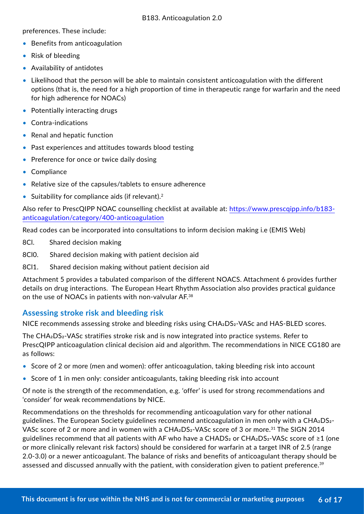preferences. These include:

- Benefits from anticoagulation
- Risk of bleeding
- Availability of antidotes
- Likelihood that the person will be able to maintain consistent anticoagulation with the different options (that is, the need for a high proportion of time in therapeutic range for warfarin and the need for high adherence for NOACs)
- Potentially interacting drugs
- Contra-indications
- Renal and hepatic function
- Past experiences and attitudes towards blood testing
- Preference for once or twice daily dosing
- Compliance
- Relative size of the capsules/tablets to ensure adherence
- Suitability for compliance aids (if relevant).<sup>2</sup>

Also refer to PrescQIPP NOAC counselling checklist at available at: [https://www.prescqipp.info/b183](https://www.prescqipp.info/b183-anticoagulation/category/400-anticoagulation) [anticoagulation/category/400-anticoagulation](https://www.prescqipp.info/b183-anticoagulation/category/400-anticoagulation)

Read codes can be incorporated into consultations to inform decision making i.e (EMIS Web)

- 8Cl. Shared decision making
- 8Cl0. Shared decision making with patient decision aid
- 8Cl1. Shared decision making without patient decision aid

Attachment 5 provides a tabulated comparison of the different NOACS. Attachment 6 provides further details on drug interactions. The European Heart Rhythm Association also provides practical guidance on the use of NOACs in patients with non-valvular AF.<sup>38</sup>

### **Assessing stroke risk and bleeding risk**

NICE recommends assessing stroke and bleeding risks using CHA<sub>2</sub>DS<sub>2</sub>-VASc and HAS-BLED scores.

The CHA<sub>2</sub>DS<sub>2</sub>-VASc stratifies stroke risk and is now integrated into practice systems. Refer to PrescQIPP anticoagulation clinical decision aid and algorithm. The recommendations in NICE CG180 are as follows:

- Score of 2 or more (men and women): offer anticoagulation, taking bleeding risk into account
- Score of 1 in men only: consider anticoagulants, taking bleeding risk into account

Of note is the strength of the recommendation, e.g. 'offer' is used for strong recommendations and 'consider' for weak recommendations by NICE.

Recommendations on the thresholds for recommending anticoagulation vary for other national guidelines. The European Society guidelines recommend anticoagulation in men only with a CHA2DS2- VASc score of 2 or more and in women with a  $CHA_2DS_2$ -VASc score of 3 or more.<sup>31</sup> The SIGN 2014 guidelines recommend that all patients with AF who have a CHADS<sub>2</sub> or CHA<sub>2</sub>DS<sub>2</sub>-VASc score of  $\geq$ 1 (one or more clinically relevant risk factors) should be considered for warfarin at a target INR of 2.5 (range 2.0-3.0) or a newer anticoagulant. The balance of risks and benefits of anticoagulant therapy should be assessed and discussed annually with the patient, with consideration given to patient preference.<sup>39</sup>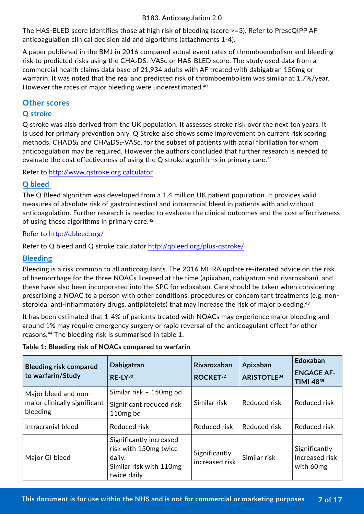The HAS-BLED score identifies those at high risk of bleeding (score >=3). Refer to PrescQIPP AF anticoagulation clinical decision aid and algorithms (attachments 1-4).

A paper published in the BMJ in 2016 compared actual event rates of thromboembolism and bleeding risk to predicted risks using the CHA<sub>2</sub>DS<sub>2</sub>-VASc or HAS-BLED score. The study used data from a commercial health claims data base of 21,934 adults with AF treated with dabigatran 150mg or warfarin. It was noted that the real and predicted risk of thromboembolism was similar at 1.7%/year. However the rates of major bleeding were underestimated.<sup>40</sup>

### **Other scores**

### **Q stroke**

Q stroke was also derived from the UK population. It assesses stroke risk over the next ten years. It is used for primary prevention only. Q Stroke also shows some improvement on current risk scoring methods, CHADS<sub>2</sub> and CHA<sub>2</sub>DS<sub>2</sub>-VASc, for the subset of patients with atrial fibrillation for whom anticoagulation may be required. However the authors concluded that further research is needed to evaluate the cost effectiveness of using the Q stroke algorithms in primary care.<sup>41</sup>

Refer to http://www.qstroke.org calculator

### **Q bleed**

The Q Bleed algorithm was developed from a 1.4 million UK patient population. It provides valid measures of absolute risk of gastrointestinal and intracranial bleed in patients with and without anticoagulation. Further research is needed to evaluate the clinical outcomes and the cost effectiveness of using these algorithms in primary care.<sup>42</sup>

Refer to <http://qbleed.org/>

Refer to Q bleed and Q stroke calculator<http://qbleed.org/plus-qstroke/>

### **Bleeding**

Bleeding is a risk common to all anticoagulants. The 2016 MHRA update re-iterated advice on the risk of haemorrhage for the three NOACs licensed at the time (apixaban, dabigatran and rivaroxaban), and these have also been incorporated into the SPC for edoxaban. Care should be taken when considering prescribing a NOAC to a person with other conditions, procedures or concomitant treatments (e.g. nonsteroidal anti-inflammatory drugs, antiplatelets) that may increase the risk of major bleeding.<sup>43</sup>

It has been estimated that 1-4% of patients treated with NOACs may experience major bleeding and around 1% may require emergency surgery or rapid reversal of the anticoagulant effect for other reasons.44 The bleeding risk is summarised in table 1.

|  |  | Table 1: Bleeding risk of NOACs compared to warfarin |  |  |
|--|--|------------------------------------------------------|--|--|
|  |  |                                                      |  |  |

| <b>Bleeding risk compared</b><br>to warfarin/Study               | Dabigatran<br>$RE-LY^{30}$                                                                           | Rivaroxaban<br>ROCKET <sup>32</sup> | Apixaban<br><b>ARISTOTLE</b> 34 | Edoxaban<br><b>ENGAGE AF-</b><br>TIMI 4835   |
|------------------------------------------------------------------|------------------------------------------------------------------------------------------------------|-------------------------------------|---------------------------------|----------------------------------------------|
| Major bleed and non-<br>major clinically significant<br>bleeding | Similar risk - 150mg bd<br>Significant reduced risk<br>110 <sub>mg</sub> bd                          | Similar risk                        | Reduced risk                    | Reduced risk                                 |
| Intracranial bleed                                               | Reduced risk                                                                                         | Reduced risk                        | Reduced risk                    | Reduced risk                                 |
| Major GI bleed                                                   | Significantly increased<br>risk with 150mg twice<br>daily.<br>Similar risk with 110mg<br>twice daily | Significantly<br>increased risk     | Similar risk                    | Significantly<br>Increased risk<br>with 60mg |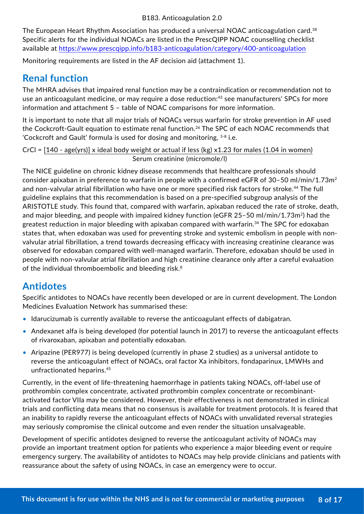The European Heart Rhythm Association has produced a universal NOAC anticoagulation card.<sup>38</sup> Specific alerts for the individual NOACs are listed in the PrescQIPP NOAC counselling checklist available at<https://www.prescqipp.info/b183-anticoagulation/category/400-anticoagulation>

Monitoring requirements are listed in the AF decision aid (attachment 1).

## **Renal function**

The MHRA advises that impaired renal function may be a contraindication or recommendation not to use an anticoagulant medicine, or may require a dose reduction:<sup>43</sup> see manufacturers' SPCs for more information and attachment 5 – table of NOAC comparisons for more information.

It is important to note that all major trials of NOACs versus warfarin for stroke prevention in AF used the Cockcroft-Gault equation to estimate renal function.<sup>26</sup> The SPC of each NOAC recommends that 'Cockcroft and Gault' formula is used for dosing and monitoring, 5-8 i.e.

CrCl = [140 - age(yrs)] x ideal body weight or actual if less (kg) x1.23 for males (1.04 in women) Serum creatinine (micromole/l)

The NICE guideline on chronic kidney disease recommends that healthcare professionals should consider apixaban in preference to warfarin in people with a confirmed eGFR of 30–50 ml/min/1.73m<sup>2</sup> and non-valvular atrial fibrillation who have one or more specified risk factors for stroke.44 The full guideline explains that this recommendation is based on a pre-specified subgroup analysis of the ARISTOTLE study. This found that, compared with warfarin, apixaban reduced the rate of stroke, death, and major bleeding, and people with impaired kidney function (eGFR 25-50 ml/min/1.73m<sup>2</sup>) had the greatest reduction in major bleeding with apixaban compared with warfarin.<sup>34</sup> The SPC for edoxaban states that, when edoxaban was used for preventing stroke and systemic embolism in people with nonvalvular atrial fibrillation, a trend towards decreasing efficacy with increasing creatinine clearance was observed for edoxaban compared with well-managed warfarin. Therefore, edoxaban should be used in people with non-valvular atrial fibrillation and high creatinine clearance only after a careful evaluation of the individual thromboembolic and bleeding risk.<sup>8</sup>

## **Antidotes**

Specific antidotes to NOACs have recently been developed or are in current development. The London Medicines Evaluation Network has summarised these:

- Idarucizumab is currently available to reverse the anticoagulant effects of dabigatran.
- Andexanet alfa is being developed (for potential launch in 2017) to reverse the anticoagulant effects of rivaroxaban, apixaban and potentially edoxaban.
- Aripazine (PER977) is being developed (currently in phase 2 studies) as a universal antidote to reverse the anticoagulant effect of NOACs, oral factor Xa inhibitors, fondaparinux, LMWHs and unfractionated heparins.<sup>45</sup>

Currently, in the event of life-threatening haemorrhage in patients taking NOACs, off-label use of prothrombin complex concentrate, activated prothrombin complex concentrate or recombinantactivated factor VIIa may be considered. However, their effectiveness is not demonstrated in clinical trials and conflicting data means that no consensus is available for treatment protocols. It is feared that an inability to rapidly reverse the anticoagulant effects of NOACs with unvalidated reversal strategies may seriously compromise the clinical outcome and even render the situation unsalvageable.

Development of specific antidotes designed to reverse the anticoagulant activity of NOACs may provide an important treatment option for patients who experience a major bleeding event or require emergency surgery. The availability of antidotes to NOACs may help provide clinicians and patients with reassurance about the safety of using NOACs, in case an emergency were to occur.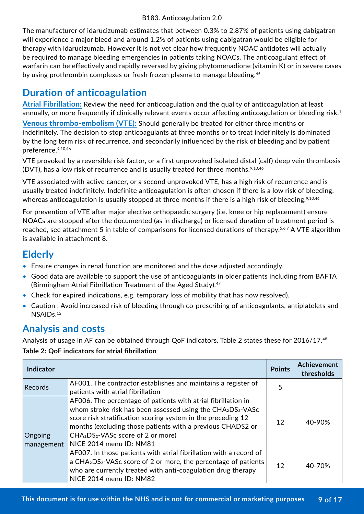The manufacturer of idarucizumab estimates that between 0.3% to 2.87% of patients using dabigatran will experience a major bleed and around 1.2% of patients using dabigatran would be eligible for therapy with idarucizumab. However it is not yet clear how frequently NOAC antidotes will actually be required to manage bleeding emergencies in patients taking NOACs. The anticoagulant effect of warfarin can be effectively and rapidly reversed by giving phytomenadione (vitamin K) or in severe cases by using prothrombin complexes or fresh frozen plasma to manage bleeding.<sup>45</sup>

## **Duration of anticoagulation**

**Atrial Fibrillation:** Review the need for anticoagulation and the quality of anticoagulation at least annually, or more frequently if clinically relevant events occur affecting anticoagulation or bleeding risk.<sup>1</sup> **Venous thrombo-embolism (VTE):** Should generally be treated for either three months or indefinitely. The decision to stop anticoagulants at three months or to treat indefinitely is dominated by the long term risk of recurrence, and secondarily influenced by the risk of bleeding and by patient preference.9,10,46

VTE provoked by a reversible risk factor, or a first unprovoked isolated distal (calf) deep vein thrombosis (DVT), has a low risk of recurrence and is usually treated for three months.<sup>9,10,46</sup>

VTE associated with active cancer, or a second unprovoked VTE, has a high risk of recurrence and is usually treated indefinitely. Indefinite anticoagulation is often chosen if there is a low risk of bleeding, whereas anticoagulation is usually stopped at three months if there is a high risk of bleeding.<sup>9,10,46</sup>

For prevention of VTE after major elective orthopaedic surgery (i.e. knee or hip replacement) ensure NOACs are stopped after the documented (as in discharge) or licensed duration of treatment period is reached, see attachment 5 in table of comparisons for licensed durations of therapy.<sup>5,6,7</sup> A VTE algorithm is available in attachment 8.

## **Elderly**

- Ensure changes in renal function are monitored and the dose adjusted accordingly.
- Good data are available to support the use of anticoagulants in older patients including from BAFTA (Birmingham Atrial Fibrillation Treatment of the Aged Study).<sup>47</sup>
- Check for expired indications, e.g. temporary loss of mobility that has now resolved).
- Caution : Avoid increased risk of bleeding through co-prescribing of anticoagulants, antiplatelets and NSAIDs.<sup>12</sup>

## **Analysis and costs**

Analysis of usage in AF can be obtained through QoF indicators. Table 2 states these for 2016/17.<sup>48</sup>

### **Table 2: QoF indicators for atrial fibrillation**

| <b>Indicator</b>      |                                                                                                                                                                                                                                                                                                                                                               | <b>Points</b> | Achievement<br>thresholds |
|-----------------------|---------------------------------------------------------------------------------------------------------------------------------------------------------------------------------------------------------------------------------------------------------------------------------------------------------------------------------------------------------------|---------------|---------------------------|
| <b>Records</b>        | AF001. The contractor establishes and maintains a register of<br>patients with atrial fibrillation                                                                                                                                                                                                                                                            | 5             |                           |
| Ongoing<br>management | AF006. The percentage of patients with atrial fibrillation in<br>whom stroke risk has been assessed using the CHA2DS2-VASc<br>score risk stratification scoring system in the preceding 12<br>months (excluding those patients with a previous CHADS2 or<br>CHA <sub>2</sub> DS <sub>2</sub> -VAS <sub>c</sub> score of 2 or more)<br>NICE 2014 menu ID: NM81 | 12            | 40-90%                    |
|                       | AF007. In those patients with atrial fibrillation with a record of<br>a CHA <sub>2</sub> DS <sub>2</sub> -VAS <sub>c</sub> score of 2 or more, the percentage of patients<br>who are currently treated with anti-coagulation drug therapy<br>NICE 2014 menu ID: NM82                                                                                          | 12            | 40-70%                    |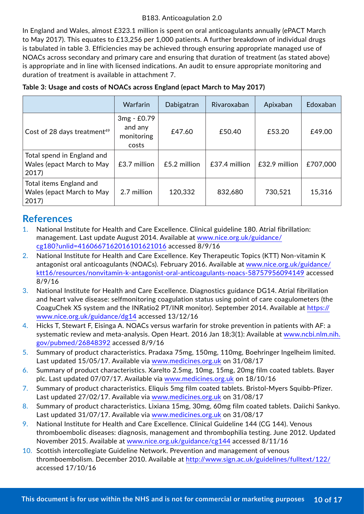In England and Wales, almost £323.1 million is spent on oral anticoagulants annually (ePACT March to May 2017). This equates to £13,256 per 1,000 patients. A further breakdown of individual drugs is tabulated in table 3. Efficiencies may be achieved through ensuring appropriate managed use of NOACs across secondary and primary care and ensuring that duration of treatment (as stated above) is appropriate and in line with licensed indications. An audit to ensure appropriate monitoring and duration of treatment is available in attachment 7.

|                                                                  | Warfarin                                      | Dabigatran   | Rivaroxaban   | Apixaban      | Edoxaban |
|------------------------------------------------------------------|-----------------------------------------------|--------------|---------------|---------------|----------|
| Cost of 28 days treatment <sup>49</sup>                          | 3mg - £0.79<br>and any<br>monitoring<br>costs | £47.60       | £50.40        | £53.20        | £49.00   |
| Total spend in England and<br>Wales (epact March to May<br>2017) | £3.7 million                                  | £5.2 million | £37.4 million | £32.9 million | £707,000 |
| Total items England and<br>Wales (epact March to May<br>2017     | 2.7 million                                   | 120,332      | 832,680       | 730,521       | 15,316   |

## **References**

- 1. National Institute for Health and Care Excellence. Clinical guideline 180. Atrial fibrillation: management. Last update August 2014. Available at [www.nice.org.uk/guidance/](http://www.nice.org.uk/guidance/cg180?unlid=4160667162016101621016) [cg180?unlid=4160667162016101621016](http://www.nice.org.uk/guidance/cg180?unlid=4160667162016101621016) accessed 8/9/16
- 2. National Institute for Health and Care Excellence. Key Therapeutic Topics (KTT) Non-vitamin K antagonist oral anticoagulants (NOACs). February 2016. Available at [www.nice.org.uk/guidance/](http://www.nice.org.uk/guidance/ktt16/resources/nonvitamin-k-antagonist-oral-anticoagulants-noacs-587579560) [ktt16/resources/nonvitamin-k-antagonist-oral-anticoagulants-noacs-58757956094149](http://www.nice.org.uk/guidance/ktt16/resources/nonvitamin-k-antagonist-oral-anticoagulants-noacs-587579560) accessed 8/9/16
- 3. National Institute for Health and Care Excellence. Diagnostics guidance DG14. Atrial fibrillation and heart valve disease: selfmonitoring coagulation status using point of care coagulometers (the CoaguChek XS system and the INRatio2 PT/INR monitor). September 2014. Available at [https://](https://www.nice.org.uk/guidance/dg14) [www.nice.org.uk/guidance/dg14](https://www.nice.org.uk/guidance/dg14) accessed 13/12/16
- 4. Hicks T, Stewart F, Eisinga A. NOACs versus warfarin for stroke prevention in patients with AF: a systematic review and meta-analysis. Open Heart. 2016 Jan 18;3(1): Available at [www.ncbi.nlm.nih.](http://www.ncbi.nlm.nih.gov/pubmed/26848392) [gov/pubmed/26848392](http://www.ncbi.nlm.nih.gov/pubmed/26848392) accessed 8/9/16
- 5. Summary of product characteristics. Pradaxa 75mg, 150mg, 110mg, Boehringer Ingelheim limited. Last updated 15/05/17. Available via [www.medicines.org.uk](http://www.medicines.org.uk) on 31/08/17
- 6. Summary of product characteristics. Xarelto 2.5mg, 10mg, 15mg, 20mg film coated tablets. Bayer plc. Last updated 07/07/17. Available via [www.medicines.org.uk](http://www.medicines.org.uk) on 18/10/16
- 7. Summary of product characteristics. Eliquis 5mg film coated tablets. Bristol-Myers Squibb-Pfizer. Last updated 27/02/17. Available via www.medicines.org.uk on 31/08/17
- 8. Summary of product characteristics. Lixiana 15mg, 30mg, 60mg film coated tablets. Daiichi Sankyo. Last updated 31/07/17. Available via [www.medicines.org.uk](http://www.medicines.org.uk) on 31/08/17
- 9. National Institute for Health and Care Excellence. Clinical Guideline 144 (CG 144). Venous thromboembolic diseases: diagnosis, management and thrombophilia testing. June 2012. Updated November 2015. Available at [www.nice.org.uk/guidance/cg144](http://www.nice.org.uk/guidance/cg144) accessed 8/11/16
- 10. Scottish intercollegiate Guideline Network. Prevention and management of venous thromboembolism. December 2010. Available at <http://www.sign.ac.uk/guidelines/fulltext/122/> accessed 17/10/16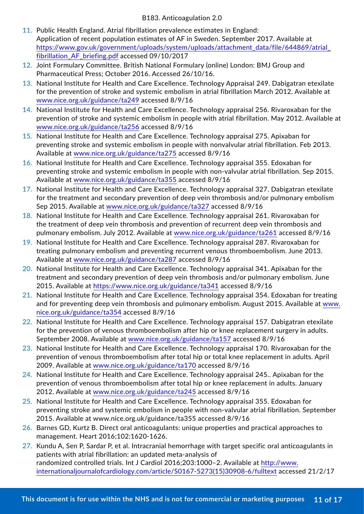- 11. Public Health England. Atrial fibrillation prevalence estimates in England: Application of recent population estimates of AF in Sweden. September 2017. Available at https://www.gov.uk/government/uploads/system/uploads/attachment\_data/file/644869/atrial\_ fibrillation\_AF\_briefing.pdf accessed 09/10/2017
- 12. Joint Formulary Committee. British National Formulary (online) London: BMJ Group and Pharmaceutical Press; October 2016. Accessed 26/10/16.
- 13. National Institute for Health and Care Excellence. Technology Appraisal 249. Dabigatran etexilate for the prevention of stroke and systemic embolism in atrial fibrillation March 2012. Available at [www.nice.org.uk/guidance/ta249](http://www.nice.org.uk/guidance/ta249) accessed 8/9/16
- 14. National Institute for Health and Care Excellence. Technology appraisal 256. Rivaroxaban for the prevention of stroke and systemic embolism in people with atrial fibrillation. May 2012. Available at [www.nice.org.uk/guidance/ta256](http://www.nice.org.uk/guidance/ta256) accessed 8/9/16
- 15. National Institute for Health and Care Excellence. Technology appraisal 275. Apixaban for preventing stroke and systemic embolism in people with nonvalvular atrial fibrillation. Feb 2013. Available at [www.nice.org.uk/guidance/ta275](http://www.nice.org.uk/guidance/ta275) accessed 8/9/16
- 16. National Institute for Health and Care Excellence. Technology appraisal 355. Edoxaban for preventing stroke and systemic embolism in people with non-valvular atrial fibrillation. Sep 2015. Available at [www.nice.org.uk/guidance/ta355](http://www.nice.org.uk/guidance/ta355) accessed 8/9/16
- 17. National Institute for Health and Care Excellence. Technology appraisal 327. Dabigatran etexilate for the treatment and secondary prevention of deep vein thrombosis and/or pulmonary embolism Sep 2015. Available at [www.nice.org.uk/guidance/ta327](http://www.nice.org.uk/guidance/ta327) accessed 8/9/16
- 18. National Institute for Health and Care Excellence. Technology appraisal 261. Rivaroxaban for the treatment of deep vein thrombosis and prevention of recurrent deep vein thrombosis and pulmonary embolism. July 2012. Available at [www.nice.org.uk/guidance/ta261](http://www.nice.org.uk/guidance/ta261) accessed 8/9/16
- 19. National Institute for Health and Care Excellence. Technology appraisal 287. Rivaroxaban for treating pulmonary embolism and preventing recurrent venous thromboembolism. June 2013. Available at [www.nice.org.uk/guidance/ta287](http://www.nice.org.uk/guidance/ta287) accessed 8/9/16
- 20. National Institute for Health and Care Excellence. Technology appraisal 341. Apixaban for the treatment and secondary prevention of deep vein thrombosis and/or pulmonary embolism. June 2015. Available at https://www.nice.org.uk/guidance/ta341 accessed 8/9/16
- 21. National Institute for Health and Care Excellence. Technology appraisal 354. Edoxaban for treating and for preventing deep vein thrombosis and pulmonary embolism. August 2015. Available at [www.](http://www.nice.org.uk/guidance/ta354) [nice.org.uk/guidance/ta354](http://www.nice.org.uk/guidance/ta354) accessed 8/9/16
- 22. National Institute for Health and Care Excellence. Technology appraisal 157. Dabigatran etexilate for the prevention of venous thromboembolism after hip or knee replacement surgery in adults. September 2008. Available at [www.nice.org.uk/guidance/ta157](http://www.nice.org.uk/guidance/ta157) accessed 8/9/16
- 23. National Institute for Health and Care Excellence. Technology appraisal 170. Rivaroxaban for the prevention of venous thromboembolism after total hip or total knee replacement in adults. April 2009. Available at [www.nice.org.uk/guidance/ta170](http://www.nice.org.uk/guidance/ta170) accessed 8/9/16
- 24. National Institute for Health and Care Excellence. Technology appraisal 245. Apixaban for the prevention of venous thromboembolism after total hip or knee replacement in adults. January 2012. Available at [www.nice.org.uk/guidance/ta245](http://www.nice.org.uk/guidance/ta245) accessed 8/9/16
- 25. National Institute for Health and Care Excellence. Technology appraisal 355. Edoxaban for preventing stroke and systemic embolism in people with non-valvular atrial fibrillation. September 2015. Available at [www.nice.org.uk/guidance/ta](http://www.nice.org.uk/guidance/ta)355 accessed 8/9/16
- 26. Barnes GD, Kurtz B. Direct oral anticoagulants: unique properties and practical approaches to management. Heart 2016;102:1620-1626.
- 27. Kundu A, Sen P, Sardar P, et al. Intracranial hemorrhage with target specific oral anticoagulants in patients with atrial fibrillation: an updated meta-analysis of randomized controlled trials. Int J Cardiol 2016;203:1000–2. Available at [http://www.](http://www.internationaljournalofcardiology.com/article/S0167-5273(15)30908-6/fulltext) [internationaljournalofcardiology.com/article/S0167-5273\(15\)30908-6/fulltext](http://www.internationaljournalofcardiology.com/article/S0167-5273(15)30908-6/fulltext) accessed 21/2/17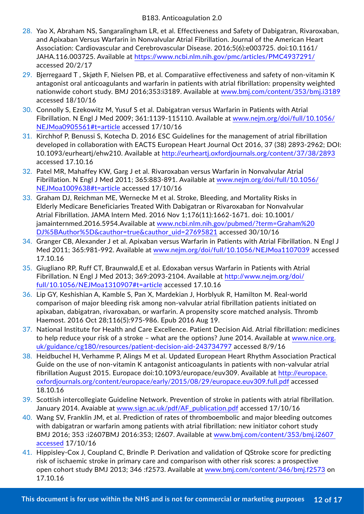- 28. Yao X, Abraham NS, Sangaralingham LR, et al. Effectiveness and Safety of Dabigatran, Rivaroxaban, and Apixaban Versus Warfarin in Nonvalvular Atrial Fibrillation. Journal of the American Heart Association: Cardiovascular and Cerebrovascular Disease. 2016;5(6):e003725. doi:10.1161/ JAHA.116.003725. Available at <https://www.ncbi.nlm.nih.gov/pmc/articles/PMC4937291/> accessed 20/2/17
- 29. Bjerregaard T , Skjøth F, Nielsen PB, et al. Comparatiive effectiveness and safety of non-vitamin K antagonist oral anticoagulants and warfarin in patients with atrial fibrillation: propensity weighted nationwide cohort study. BMJ 2016;353:i3189. Available at [www.bmj.com/content/353/bmj.i3189](http://www.bmj.com/content/353/bmj.i3189) accessed 18/10/16
- 30. Connolly S, Ezekowitz M, Yusuf S et al. Dabigatran versus Warfarin in Patients with Atrial Fibrillation. N Engl J Med 2009; 361:1139-115110. Available at [www.nejm.org/doi/full/10.1056/](http://www.nejm.org/doi/full/10.1056/NEJMoa0905561#t=article) [NEJMoa0905561#t=article](http://www.nejm.org/doi/full/10.1056/NEJMoa0905561#t=article) accessed 17/10/16
- 31. Kirchhof P, Benussi S, Kotecha D. 2016 ESC Guidelines for the management of atrial fibrillation developed in collaboration with EACTS European Heart Journal Oct 2016, 37 (38) 2893-2962; DOI: 10.1093/eurheartj/ehw210. Available at <http://eurheartj.oxfordjournals.org/content/37/38/2893> accessed 17.10.16
- 32. Patel MR, Mahaffey KW, Garg J et al. Rivaroxaban versus Warfarin in Nonvalvular Atrial Fibrillation. N Engl J Med 2011; 365:883-891. Available at [www.nejm.org/doi/full/10.1056/](http://www.nejm.org/doi/full/10.1056/NEJMoa1009638#t=article) [NEJMoa1009638#t=article](http://www.nejm.org/doi/full/10.1056/NEJMoa1009638#t=article) accessed 17/10/16
- 33. Graham DJ, Reichman ME, Wernecke M et al. Stroke, Bleeding, and Mortality Risks in Elderly Medicare Beneficiaries Treated With Dabigatran or Rivaroxaban for Nonvalvular Atrial Fibrillation. JAMA Intern Med. 2016 Nov 1;176(11):1662-1671. doi: 10.1001/ jamainternmed.2016.5954.Available at [www.ncbi.nlm.nih.gov/pubmed/?term=Graham%20](http://www.ncbi.nlm.nih.gov/pubmed/?term=Graham%20DJ%5BAuthor%5D&cauthor=true&cauthor_uid=27695821) [DJ%5BAuthor%5D&cauthor=true&cauthor\\_uid=27695821](http://www.ncbi.nlm.nih.gov/pubmed/?term=Graham%20DJ%5BAuthor%5D&cauthor=true&cauthor_uid=27695821) accessed 30/10/16
- 34. Granger CB, Alexander J et al. Apixaban versus Warfarin in Patients with Atrial Fibrillation. N Engl J Med 2011; 365:981-992. Available at [www.nejm.org/doi/full/10.1056/NEJMoa1107039](http://www.nejm.org/doi/full/10.1056/NEJMoa1107039) accessed 17.10.16
- 35. Giugliano RP, Ruff CT, Braunwald,E et al. Edoxaban versus Warfarin in Patients with Atrial Fibrillation. N Engl J Med 2013; 369:2093-2104. Available at [http://www.nejm.org/doi/](http://www.nejm.org/doi/full/10.1056/NEJMoa1310907#t=article) [full/10.1056/NEJMoa1310907#t=article](http://www.nejm.org/doi/full/10.1056/NEJMoa1310907#t=article) accessed 17.10.16
- 36. Lip GY, Keshishian A, Kamble S, Pan X, Mardekian J, Horblyuk R, Hamilton M. Real-world comparison of major bleeding risk among non-valvular atrial fibrillation patients initiated on apixaban, dabigatran, rivaroxaban, or warfarin. A propensity score matched analysis. Thromb Haemost. 2016 Oct 28;116(5):975-986. Epub 2016 Aug 19.
- 37. National Institute for Health and Care Excellence. Patient Decision Aid. Atrial fibrillation: medicines to help reduce your risk of a stroke – what are the options? June 2014. Available at [www.nice.org.](http://www.nice.org.uk/guidance/cg180/resources/patient-decision-aid-243734797) [uk/guidance/cg180/resources/patient-decision-aid-243734797](http://www.nice.org.uk/guidance/cg180/resources/patient-decision-aid-243734797) accessed 8/9/16
- 38. Heidbuchel H, Verhamme P, Alings M et al. Updated European Heart Rhythm Association Practical Guide on the use of non-vitamin K antagonist anticoagulants in patients with non-valvular atrial fibrillation August 2015. Europace doi:10.1093/europace/euv309. Available at [http://europace.](http://europace.oxfordjournals.org/content/europace/early/2015/08/29/europace.euv309.full.pdf) [oxfordjournals.org/content/europace/early/2015/08/29/europace.euv309.full.pdf](http://europace.oxfordjournals.org/content/europace/early/2015/08/29/europace.euv309.full.pdf) accessed 18.10.16
- 39. Scottish intercollegiate Guideline Network. Prevention of stroke in patients with atrial fibrillation. January 2014. Avaiable at [www.sign.ac.uk/pdf/AF\\_publication.pdf](http://www.sign.ac.uk/pdf/AF_publication.pdf) accessed 17/10/16
- 40. Wang SV, Franklin JM, et al. Prediction of rates of thromboembolic and major bleeding outcomes with dabigatran or warfarin among patients with atrial fibrillation: new initiator cohort study BMJ 2016; 353 :i2607BMJ 2016:353; I2607. Available at [www.bmj.com/content/353/bmj.i2607](http://www.bmj.com/content/353/bmj.i2607 accessed)  [accessed](http://www.bmj.com/content/353/bmj.i2607 accessed) 17/10/16
- 41. Hippisley-Cox J, Coupland C, Brindle P. Derivation and validation of QStroke score for predicting risk of ischaemic stroke in primary care and comparison with other risk scores: a prospective open cohort study BMJ 2013; 346 :f2573. Available at [www.bmj.com/content/346/bmj.f2573](http://www.bmj.com/content/346/bmj.f2573) on 17.10.16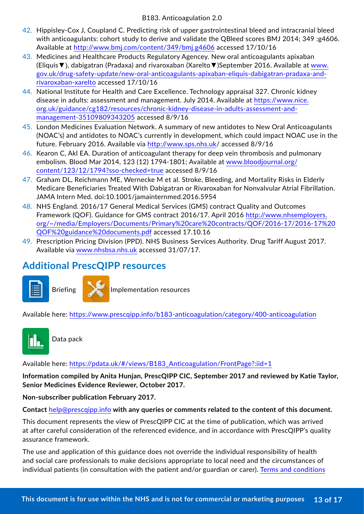- 42. Hippisley-Cox J, Coupland C. Predicting risk of upper gastrointestinal bleed and intracranial bleed with anticoagulants: cohort study to derive and validate the QBleed scores BMJ 2014; 349 :g4606. Available at <http://www.bmj.com/content/349/bmj.g4606> accessed 17/10/16
- 43. Medicines and Healthcare Products Regulatory Agencey. New oral anticoagulants apixaban (Eliquis▼), dabigatran (Pradaxa) and rivaroxaban (Xarelto▼)September 2016. Available at [www.](http://www.gov.uk/drug-safety-update/new-oral-anticoagulants-apixaban-eliquis-dabigatran-pradaxa-and-rivaro) [gov.uk/drug-safety-update/new-oral-anticoagulants-apixaban-eliquis-dabigatran-pradaxa-and](http://www.gov.uk/drug-safety-update/new-oral-anticoagulants-apixaban-eliquis-dabigatran-pradaxa-and-rivaro)[rivaroxaban-xarelto](http://www.gov.uk/drug-safety-update/new-oral-anticoagulants-apixaban-eliquis-dabigatran-pradaxa-and-rivaro) accessed 17/10/16
- 44. National Institute for Health and Care Excellence. Technology appraisal 327. Chronic kidney disease in adults: assessment and management. July 2014. Available at [https://www.nice.](https://www.nice.org.uk/guidance/cg182/resources/chronic-kidney-disease-in-adults-assessment-and-man) [org.uk/guidance/cg182/resources/chronic-kidney-disease-in-adults-assessment-and](https://www.nice.org.uk/guidance/cg182/resources/chronic-kidney-disease-in-adults-assessment-and-man)[management-35109809343205](https://www.nice.org.uk/guidance/cg182/resources/chronic-kidney-disease-in-adults-assessment-and-man) accessed 8/9/16
- 45. London Medicines Evaluation Network. A summary of new antidotes to New Oral Anticoagulants (NOAC's) and antidotes to NOAC's currently in development, which could impact NOAC use in the future. February 2016. Available via<http://www.sps.nhs.uk>/ accessed 8/9/16
- 46. Kearon C, Akl EA. Duration of anticoagulant therapy for deep vein thrombosis and pulmonary embolism. Blood Mar 2014, 123 (12) 1794-1801; Available at [www.bloodjournal.org/](http://www.bloodjournal.org/content/123/12/1794?sso-checked=true) [content/123/12/1794?sso-checked=true](http://www.bloodjournal.org/content/123/12/1794?sso-checked=true) accessed 8/9/16
- 47. Graham DL, Reichmann ME, Wernecke M et al. Stroke, Bleeding, and Mortality Risks in Elderly Medicare Beneficiaries Treated With Dabigatran or Rivaroxaban for Nonvalvular Atrial Fibrillation. JAMA Intern Med. doi:10.1001/jamainternmed.2016.5954
- 48. NHS England. 2016/17 General Medical Services (GMS) contract Quality and Outcomes Framework (QOF). Guidance for GMS contract 2016/17. April 2016 [http://www.nhsemployers.](http://www.nhsemployers.org/~/media/Employers/Documents/Primary%20care%20contracts/QOF/2016-17/2016-) [org/~/media/Employers/Documents/Primary%20care%20contracts/QOF/2016-17/2016-17%20](http://www.nhsemployers.org/~/media/Employers/Documents/Primary%20care%20contracts/QOF/2016-17/2016-) [QOF%20guidance%20documents.pdf](http://www.nhsemployers.org/~/media/Employers/Documents/Primary%20care%20contracts/QOF/2016-17/2016-) accessed 17.10.16
- 49. Prescription Pricing Division (PPD). NHS Business Services Authority. Drug Tariff August 2017. Available via [www.nhsbsa.nhs.uk](http://www.nhsbsa.nhs.uk) accessed 31/07/17.

## **Additional PrescQIPP resources**





Briefing **Implementation resources** 

Available here: <https://www.prescqipp.info/b183-anticoagulation/category/400-anticoagulation>



Data pack

Available here: [https://pdata.uk/#/views/B183\\_Anticoagulation/FrontPage?:iid=1](https://pdata.uk/#/views/B183_Anticoagulation/FrontPage?:iid=1)

**Information compiled by Anita Hunjan, PrescQIPP CIC, September 2017 and reviewed by Katie Taylor, Senior Medicines Evidence Reviewer, October 2017.**

**Non-subscriber publication February 2017.**

**Contact** [help@prescqipp.info](mailto:help%40prescqipp.info?subject=) **with any queries or comments related to the content of this document.**

This document represents the view of PrescQIPP CIC at the time of publication, which was arrived at after careful consideration of the referenced evidence, and in accordance with PrescQIPP's quality assurance framework.

The use and application of this guidance does not override the individual responsibility of health and social care professionals to make decisions appropriate to local need and the circumstances of individual patients (in consultation with the patient and/or guardian or carer). [Terms and conditions](https://www.prescqipp.info/terms-and-conditions/info/terms-and-conditions)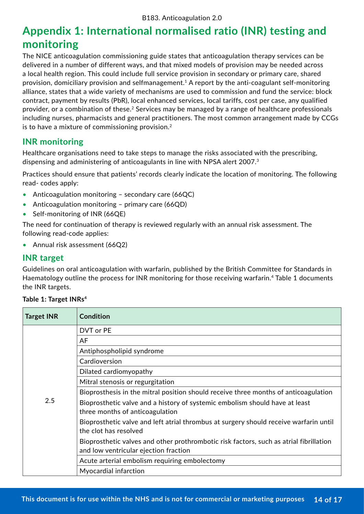# **Appendix 1: International normalised ratio (INR) testing and monitoring**

The NICE anticoagulation commissioning guide states that anticoagulation therapy services can be delivered in a number of different ways, and that mixed models of provision may be needed across a local health region. This could include full service provision in secondary or primary care, shared provision, domiciliary provision and selfmanagement.1 A report by the anti-coagulant self-monitoring alliance, states that a wide variety of mechanisms are used to commission and fund the service: block contract, payment by results (PbR), local enhanced services, local tariffs, cost per case, any qualified provider, or a combination of these.2 Services may be managed by a range of healthcare professionals including nurses, pharmacists and general practitioners. The most common arrangement made by CCGs is to have a mixture of commissioning provision.<sup>2</sup>

### **INR monitoring**

Healthcare organisations need to take steps to manage the risks associated with the prescribing, dispensing and administering of anticoagulants in line with NPSA alert 2007.<sup>3</sup>

Practices should ensure that patients' records clearly indicate the location of monitoring. The following read- codes apply:

- Anticoagulation monitoring secondary care (66QC)
- Anticoagulation monitoring primary care (66QD)
- Self-monitoring of INR (66QE)

The need for continuation of therapy is reviewed regularly with an annual risk assessment. The following read-code applies:

• Annual risk assessment (66Q2)

### **INR target**

Guidelines on oral anticoagulation with warfarin, published by the British Committee for Standards in Haematology outline the process for INR monitoring for those receiving warfarin.<sup>4</sup> Table 1 documents the INR targets.

| <b>Target INR</b> | <b>Condition</b>                                                                                                                |
|-------------------|---------------------------------------------------------------------------------------------------------------------------------|
|                   | DVT or PE                                                                                                                       |
|                   | AF                                                                                                                              |
|                   | Antiphospholipid syndrome                                                                                                       |
|                   | Cardioversion                                                                                                                   |
|                   | Dilated cardiomyopathy                                                                                                          |
|                   | Mitral stenosis or regurgitation                                                                                                |
|                   | Bioprosthesis in the mitral position should receive three months of anticoagulation                                             |
| 2.5               | Bioprosthetic valve and a history of systemic embolism should have at least<br>three months of anticoagulation                  |
|                   | Bioprosthetic valve and left atrial thrombus at surgery should receive warfarin until<br>the clot has resolved                  |
|                   | Bioprosthetic valves and other prothrombotic risk factors, such as atrial fibrillation<br>and low ventricular ejection fraction |
|                   | Acute arterial embolism requiring embolectomy                                                                                   |
|                   | Myocardial infarction                                                                                                           |

### **Table 1: Target INRs4**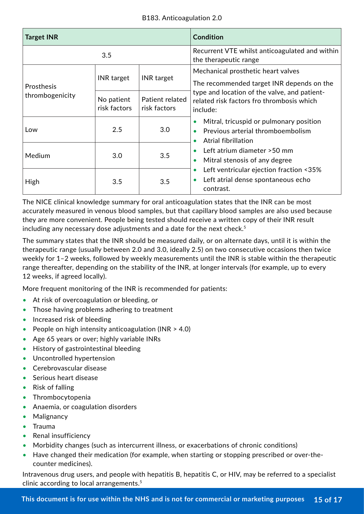| <b>Target INR</b> |                            |                                 | <b>Condition</b>                                                                                                                           |  |
|-------------------|----------------------------|---------------------------------|--------------------------------------------------------------------------------------------------------------------------------------------|--|
| 3.5               |                            |                                 | Recurrent VTE whilst anticoagulated and within<br>the therapeutic range                                                                    |  |
| Prosthesis        | <b>INR</b> target          | <b>INR</b> target               | Mechanical prosthetic heart valves<br>The recommended target INR depends on the                                                            |  |
| thrombogenicity   | No patient<br>risk factors | Patient related<br>risk factors | type and location of the valve, and patient-<br>related risk factors fro thrombosis which<br>include:                                      |  |
| Low               | 2.5                        | 3.0                             | Mitral, tricuspid or pulmonary position<br>$\bullet$<br>Previous arterial thromboembolism<br>$\bullet$<br>Atrial fibrillation<br>$\bullet$ |  |
| Medium            | 3.0                        | 3.5                             | Left atrium diameter > 50 mm<br>$\bullet$<br>Mitral stenosis of any degree<br>$\bullet$                                                    |  |
| High              | 3.5                        | 3.5                             | Left ventricular ejection fraction <35%<br>$\bullet$<br>Left atrial dense spontaneous echo<br>$\bullet$<br>contrast.                       |  |

The NICE clinical knowledge summary for oral anticoagulation states that the INR can be most accurately measured in venous blood samples, but that capillary blood samples are also used because they are more convenient. People being tested should receive a written copy of their INR result including any necessary dose adjustments and a date for the next check. $5$ 

The summary states that the INR should be measured daily, or on alternate days, until it is within the therapeutic range (usually between 2.0 and 3.0, ideally 2.5) on two consecutive occasions then twice weekly for 1–2 weeks, followed by weekly measurements until the INR is stable within the therapeutic range thereafter, depending on the stability of the INR, at longer intervals (for example, up to every 12 weeks, if agreed locally).

More frequent monitoring of the INR is recommended for patients:

- At risk of overcoagulation or bleeding, or
- Those having problems adhering to treatment
- Increased risk of bleeding
- People on high intensity anticoagulation (INR > 4.0)
- Age 65 years or over; highly variable INRs
- History of gastrointestinal bleeding
- Uncontrolled hypertension
- Cerebrovascular disease
- Serious heart disease
- Risk of falling
- Thrombocytopenia
- Anaemia, or coagulation disorders
- Malignancy
- Trauma
- Renal insufficiency
- Morbidity changes (such as intercurrent illness, or exacerbations of chronic conditions)
- Have changed their medication (for example, when starting or stopping prescribed or over-thecounter medicines).

Intravenous drug users, and people with hepatitis B, hepatitis C, or HIV, may be referred to a specialist clinic according to local arrangements.5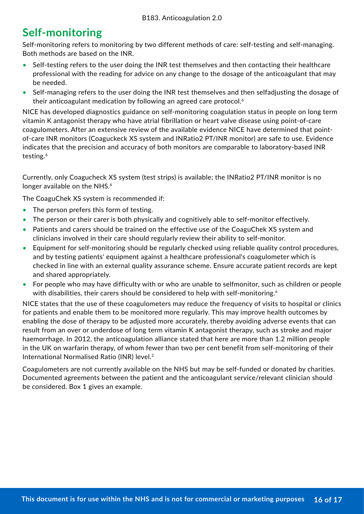# **Self-monitoring**

Self-monitoring refers to monitoring by two different methods of care: self-testing and self-managing. Both methods are based on the INR.

- Self-testing refers to the user doing the INR test themselves and then contacting their healthcare professional with the reading for advice on any change to the dosage of the anticoagulant that may be needed.
- Self-managing refers to the user doing the INR test themselves and then selfadjusting the dosage of their anticoagulant medication by following an agreed care protocol.<sup>6</sup>

NICE has developed diagnostics guidance on self-monitoring coagulation status in people on long term vitamin K antagonist therapy who have atrial fibrillation or heart valve disease using point-of-care coagulometers. After an extensive review of the available evidence NICE have determined that pointof-care INR monitors (Coaguckeck XS system and INRatio2 PT/INR monitor) are safe to use. Evidence indicates that the precision and accuracy of both monitors are comparable to laboratory-based INR testing.6

Currently, only Coagucheck XS system (test strips) is available; the INRatio2 PT/INR monitor is no longer available on the NHS.<sup>6</sup>

The CoaguChek XS system is recommended if:

- The person prefers this form of testing.
- The person or their carer is both physically and cognitively able to self-monitor effectively.
- Patients and carers should be trained on the effective use of the CoaguChek XS system and clinicians involved in their care should regularly review their ability to self-monitor.
- Equipment for self-monitoring should be regularly checked using reliable quality control procedures, and by testing patients' equipment against a healthcare professional's coagulometer which is checked in line with an external quality assurance scheme. Ensure accurate patient records are kept and shared appropriately.
- For people who may have difficulty with or who are unable to selfmonitor, such as children or people with disabilities, their carers should be considered to help with self-monitoring.<sup>6</sup>

NICE states that the use of these coagulometers may reduce the frequency of visits to hospital or clinics for patients and enable them to be monitored more regularly. This may improve health outcomes by enabling the dose of therapy to be adjusted more accurately, thereby avoiding adverse events that can result from an over or underdose of long term vitamin K antagonist therapy, such as stroke and major haemorrhage. In 2012, the anticoagulation alliance stated that here are more than 1.2 million people in the UK on warfarin therapy, of whom fewer than two per cent benefit from self-monitoring of their International Normalised Ratio (INR) level.<sup>2</sup>

Coagulometers are not currently available on the NHS but may be self-funded or donated by charities. Documented agreements between the patient and the anticoagulant service/relevant clinician should be considered. Box 1 gives an example.